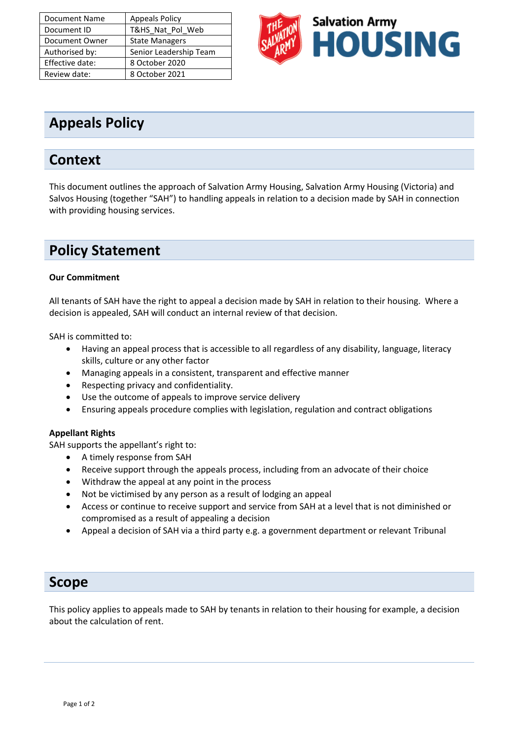| <b>Document Name</b> | <b>Appeals Policy</b>  |
|----------------------|------------------------|
| Document ID          | T&HS Nat Pol Web       |
| Document Owner       | <b>State Managers</b>  |
| Authorised by:       | Senior Leadership Team |
| Effective date:      | 8 October 2020         |
| Review date:         | 8 October 2021         |



## **Appeals Policy**

### **Context**

This document outlines the approach of Salvation Army Housing, Salvation Army Housing (Victoria) and Salvos Housing (together "SAH") to handling appeals in relation to a decision made by SAH in connection with providing housing services.

### **Policy Statement**

#### **Our Commitment**

All tenants of SAH have the right to appeal a decision made by SAH in relation to their housing. Where a decision is appealed, SAH will conduct an internal review of that decision.

SAH is committed to:

- Having an appeal process that is accessible to all regardless of any disability, language, literacy skills, culture or any other factor
- Managing appeals in a consistent, transparent and effective manner
- Respecting privacy and confidentiality.
- Use the outcome of appeals to improve service delivery
- Ensuring appeals procedure complies with legislation, regulation and contract obligations

#### **Appellant Rights**

SAH supports the appellant's right to:

- A timely response from SAH
- Receive support through the appeals process, including from an advocate of their choice
- Withdraw the appeal at any point in the process
- Not be victimised by any person as a result of lodging an appeal
- Access or continue to receive support and service from SAH at a level that is not diminished or compromised as a result of appealing a decision
- Appeal a decision of SAH via a third party e.g. a government department or relevant Tribunal

### **Scope**

This policy applies to appeals made to SAH by tenants in relation to their housing for example, a decision about the calculation of rent.